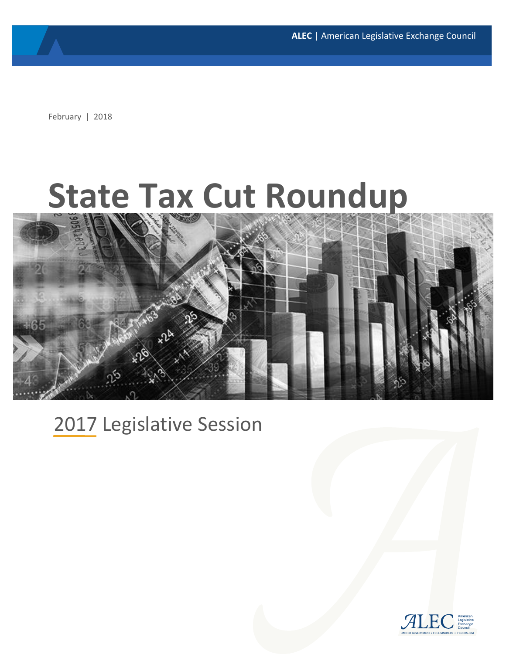**ALEC** | American Legislative Exchange Council

February | 2018

# **State Tax Cut Roundup**



# 2017 Legislative Session

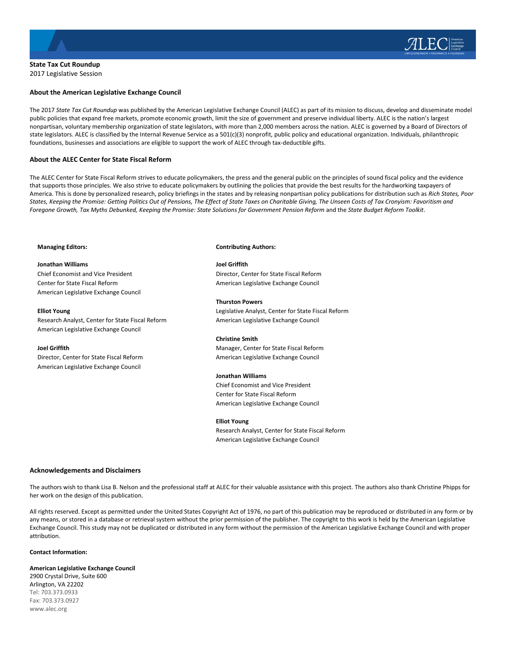

**State Tax Cut Roundup** 2017 Legislative Session

#### **About the American Legislative Exchange Council**

The 2017 *State Tax Cut Roundup* was published by the American Legislative Exchange Council (ALEC) as part of its mission to discuss, develop and disseminate model public policies that expand free markets, promote economic growth, limit the size of government and preserve individual liberty. ALEC is the nation's largest nonpartisan, voluntary membership organization of state legislators, with more than 2,000 members across the nation. ALEC is governed by a Board of Directors of state legislators. ALEC is classified by the Internal Revenue Service as a 501(c)(3) nonprofit, public policy and educational organization. Individuals, philanthropic foundations, businesses and associations are eligible to support the work of ALEC through tax-deductible gifts.

#### **About the ALEC Center for State Fiscal Reform**

The ALEC Center for State Fiscal Reform strives to educate policymakers, the press and the general public on the principles of sound fiscal policy and the evidence that supports those principles. We also strive to educate policymakers by outlining the policies that provide the best results for the hardworking taxpayers of America. This is done by personalized research, policy briefings in the states and by releasing nonpartisan policy publications for distribution such as *Rich States, Poor States, Keeping the Promise: Getting Politics Out of Pensions, The Effect of State Taxes on Charitable Giving, The Unseen Costs of Tax Cronyism: Favoritism and Foregone Growth, Tax Myths Debunked, Keeping the Promise: State Solutions for Government Pension Reform* and the *State Budget Reform Toolkit*.

#### **Managing Editors:**

**Jonathan Williams** Chief Economist and Vice President Center for State Fiscal Reform American Legislative Exchange Council

**Elliot Young** Research Analyst, Center for State Fiscal Reform American Legislative Exchange Council

#### **Joel Griffith**

Director, Center for State Fiscal Reform American Legislative Exchange Council

#### **Contributing Authors:**

**Joel Griffith** Director, Center for State Fiscal Reform American Legislative Exchange Council

**Thurston Powers** Legislative Analyst, Center for State Fiscal Reform American Legislative Exchange Council

#### **Christine Smith**

Manager, Center for State Fiscal Reform American Legislative Exchange Council

#### **Jonathan Williams**

Chief Economist and Vice President Center for State Fiscal Reform American Legislative Exchange Council

#### **Elliot Young**

Research Analyst, Center for State Fiscal Reform American Legislative Exchange Council

#### **Acknowledgements and Disclaimers**

The authors wish to thank Lisa B. Nelson and the professional staff at ALEC for their valuable assistance with this project. The authors also thank Christine Phipps for her work on the design of this publication.

All rights reserved. Except as permitted under the United States Copyright Act of 1976, no part of this publication may be reproduced or distributed in any form or by any means, or stored in a database or retrieval system without the prior permission of the publisher. The copyright to this work is held by the American Legislative Exchange Council. This study may not be duplicated or distributed in any form without the permission of the American Legislative Exchange Council and with proper attribution.

#### **Contact Information:**

**American Legislative Exchange Council** 2900 Crystal Drive, Suite 600 Arlington, VA 22202 Tel: 703.373.0933 Fax: 703.373.0927 www.alec.org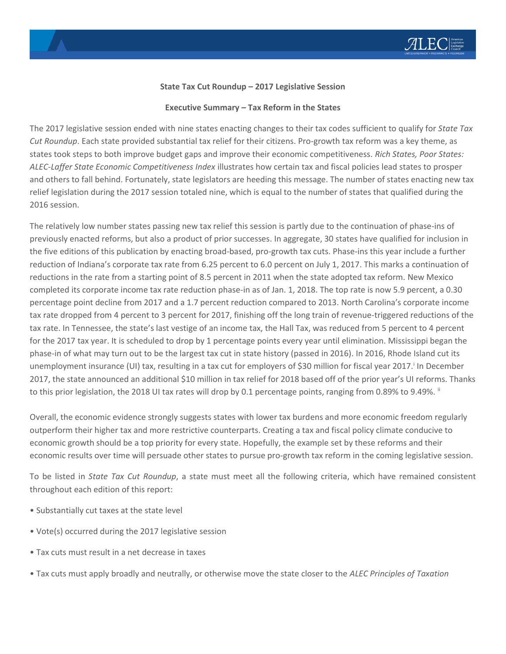

#### **State Tax Cut Roundup – 2017 Legislative Session**

#### **Executive Summary – Tax Reform in the States**

The 2017 legislative session ended with nine states enacting changes to their tax codes sufficient to qualify for *State Tax Cut Roundup*. Each state provided substantial tax relief for their citizens. Pro-growth tax reform was a key theme, as states took steps to both improve budget gaps and improve their economic competitiveness. *Rich States, Poor States: ALEC-Laffer State Economic Competitiveness Index* illustrates how certain tax and fiscal policies lead states to prosper and others to fall behind. Fortunately, state legislators are heeding this message. The number of states enacting new tax relief legislation during the 2017 session totaled nine, which is equal to the number of states that qualified during the 2016 session.

The relatively low number states passing new tax relief this session is partly due to the continuation of phase-ins of previously enacted reforms, but also a product of prior successes. In aggregate, 30 states have qualified for inclusion in the five editions of this publication by enacting broad-based, pro-growth tax cuts. Phase-ins this year include a further reduction of Indiana's corporate tax rate from 6.25 percent to 6.0 percent on July 1, 2017. This marks a continuation of reductions in the rate from a starting point of 8.5 percent in 2011 when the state adopted tax reform. New Mexico completed its corporate income tax rate reduction phase-in as of Jan. 1, 2018. The top rate is now 5.9 percent, a 0.30 percentage point decline from 2017 and a 1.7 percent reduction compared to 2013. North Carolina's corporate income tax rate dropped from 4 percent to 3 percent for 2017, finishing off the long train of revenue-triggered reductions of the tax rate. In Tennessee, the state's last vestige of an income tax, the Hall Tax, was reduced from 5 percent to 4 percent for the 2017 tax year. It is scheduled to drop by 1 percentage points every year until elimination. Mississippi began the phase-in of what may turn out to be the largest tax cut in state history (passed in 2016). In 2016, Rhode Island cut its unemployment insurance (UI) tax, resulting in a tax cut for employers of \$30 million for fiscal year 2017. In December 2017, the state announced an additional \$10 million in tax relief for 2018 based off of the prior year's UI reforms. Thanks to this prior legislation, the 2018 UI tax rates will drop by 0.1 percentage points, ranging from 0.89% to 9.49%.  $^{\text{ii}}$ 

Overall, the economic evidence strongly suggests states with lower tax burdens and more economic freedom regularly outperform their higher tax and more restrictive counterparts. Creating a tax and fiscal policy climate conducive to economic growth should be a top priority for every state. Hopefully, the example set by these reforms and their economic results over time will persuade other states to pursue pro-growth tax reform in the coming legislative session.

To be listed in *State Tax Cut Roundup*, a state must meet all the following criteria, which have remained consistent throughout each edition of this report:

- Substantially cut taxes at the state level
- Vote(s) occurred during the 2017 legislative session
- Tax cuts must result in a net decrease in taxes
- Tax cuts must apply broadly and neutrally, or otherwise move the state closer to the *ALEC Principles of Taxation*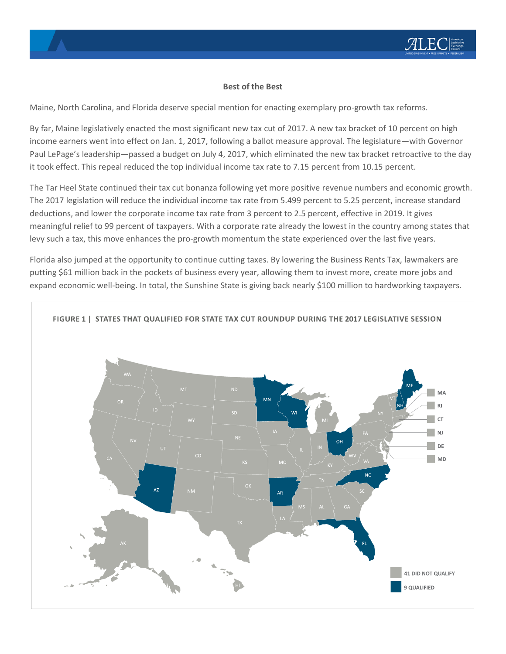# **Best of the Best**

Maine, North Carolina, and Florida deserve special mention for enacting exemplary pro-growth tax reforms.

By far, Maine legislatively enacted the most significant new tax cut of 2017. A new tax bracket of 10 percent on high income earners went into effect on Jan. 1, 2017, following a ballot measure approval. The legislature—with Governor Paul LePage's leadership—passed a budget on July 4, 2017, which eliminated the new tax bracket retroactive to the day it took effect. This repeal reduced the top individual income tax rate to 7.15 percent from 10.15 percent.

The Tar Heel State continued their tax cut bonanza following yet more positive revenue numbers and economic growth. The 2017 legislation will reduce the individual income tax rate from 5.499 percent to 5.25 percent, increase standard deductions, and lower the corporate income tax rate from 3 percent to 2.5 percent, effective in 2019. It gives meaningful relief to 99 percent of taxpayers. With a corporate rate already the lowest in the country among states that levy such a tax, this move enhances the pro-growth momentum the state experienced over the last five years.

Florida also jumped at the opportunity to continue cutting taxes. By lowering the Business Rents Tax, lawmakers are putting \$61 million back in the pockets of business every year, allowing them to invest more, create more jobs and expand economic well-being. In total, the Sunshine State is giving back nearly \$100 million to hardworking taxpayers.

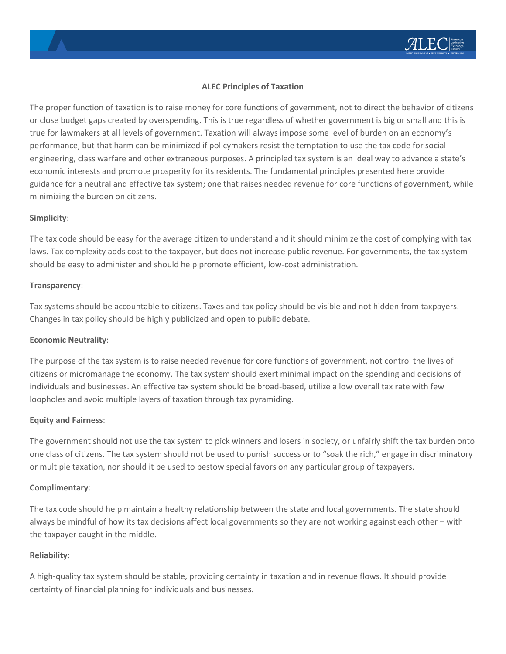# **ALEC Principles of Taxation**

The proper function of taxation is to raise money for core functions of government, not to direct the behavior of citizens or close budget gaps created by overspending. This is true regardless of whether government is big or small and this is true for lawmakers at all levels of government. Taxation will always impose some level of burden on an economy's performance, but that harm can be minimized if policymakers resist the temptation to use the tax code for social engineering, class warfare and other extraneous purposes. A principled tax system is an ideal way to advance a state's economic interests and promote prosperity for its residents. The fundamental principles presented here provide guidance for a neutral and effective tax system; one that raises needed revenue for core functions of government, while minimizing the burden on citizens.

#### **Simplicity**:

The tax code should be easy for the average citizen to understand and it should minimize the cost of complying with tax laws. Tax complexity adds cost to the taxpayer, but does not increase public revenue. For governments, the tax system should be easy to administer and should help promote efficient, low-cost administration.

#### **Transparency**:

Tax systems should be accountable to citizens. Taxes and tax policy should be visible and not hidden from taxpayers. Changes in tax policy should be highly publicized and open to public debate.

# **Economic Neutrality**:

The purpose of the tax system is to raise needed revenue for core functions of government, not control the lives of citizens or micromanage the economy. The tax system should exert minimal impact on the spending and decisions of individuals and businesses. An effective tax system should be broad-based, utilize a low overall tax rate with few loopholes and avoid multiple layers of taxation through tax pyramiding.

# **Equity and Fairness**:

The government should not use the tax system to pick winners and losers in society, or unfairly shift the tax burden onto one class of citizens. The tax system should not be used to punish success or to "soak the rich," engage in discriminatory or multiple taxation, nor should it be used to bestow special favors on any particular group of taxpayers.

#### **Complimentary**:

The tax code should help maintain a healthy relationship between the state and local governments. The state should always be mindful of how its tax decisions affect local governments so they are not working against each other – with the taxpayer caught in the middle.

# **Reliability**:

A high-quality tax system should be stable, providing certainty in taxation and in revenue flows. It should provide certainty of financial planning for individuals and businesses.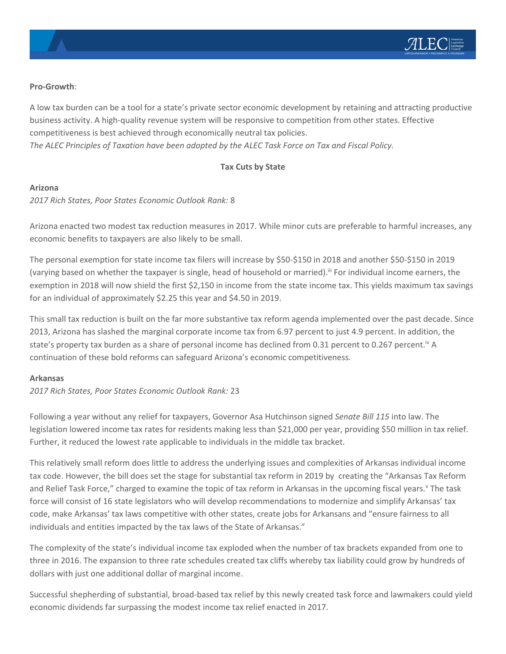#### **Pro-Growth**:

A low tax burden can be a tool for a state's private sector economic development by retaining and attracting productive business activity. A high-quality revenue system will be responsive to competition from other states. Effective competitiveness is best achieved through economically neutral tax policies. *The ALEC Principles of Taxation have been adopted by the ALEC Task Force on Tax and Fiscal Policy.*

# **Tax Cuts by State**

#### **Arizona**

*2017 Rich States, Poor States Economic Outlook Rank:* 8

Arizona enacted two modest tax reduction measures in 2017. While minor cuts are preferable to harmful increases, any economic benefits to taxpayers are also likely to be small.

The personal exemption for state income tax filers will increase by \$50-\$150 in 2018 and another \$50-\$150 in 2019 (varying based on whether the taxpayer is single, head of household or married).<sup>iii</sup> For individual income earners, the exemption in 2018 will now shield the first \$2,150 in income from the state income tax. This yields maximum tax savings for an individual of approximately \$2.25 this year and \$4.50 in 2019.

This small tax reduction is built on the far more substantive tax reform agenda implemented over the past decade. Since 2013, Arizona has slashed the marginal corporate income tax from 6.97 percent to just 4.9 percent. In addition, the state's property tax burden as a share of personal income has declined from 0.31 percent to 0.267 percent.<sup>iv</sup> A continuation of these bold reforms can safeguard Arizona's economic competitiveness.

#### **Arkansas**

*2017 Rich States, Poor States Economic Outlook Rank:* 23

Following a year without any relief for taxpayers, Governor Asa Hutchinson signed *Senate Bill 115* into law. The legislation lowered income tax rates for residents making less than \$21,000 per year, providing \$50 million in tax relief. Further, it reduced the lowest rate applicable to individuals in the middle tax bracket.

This relatively small reform does little to address the underlying issues and complexities of Arkansas individual income tax code. However, the bill does set the stage for substantial tax reform in 2019 by creating the "Arkansas Tax Reform and Relief Task Force," charged to examine the topic of tax reform in Arkansas in the upcoming fiscal years.<sup>v</sup> The task force will consist of 16 state legislators who will develop recommendations to modernize and simplify Arkansas' tax code, make Arkansas' tax laws competitive with other states, create jobs for Arkansans and "ensure fairness to all individuals and entities impacted by the tax laws of the State of Arkansas."

The complexity of the state's individual income tax exploded when the number of tax brackets expanded from one to three in 2016. The expansion to three rate schedules created tax cliffs whereby tax liability could grow by hundreds of dollars with just one additional dollar of marginal income.

Successful shepherding of substantial, broad-based tax relief by this newly created task force and lawmakers could yield economic dividends far surpassing the modest income tax relief enacted in 2017.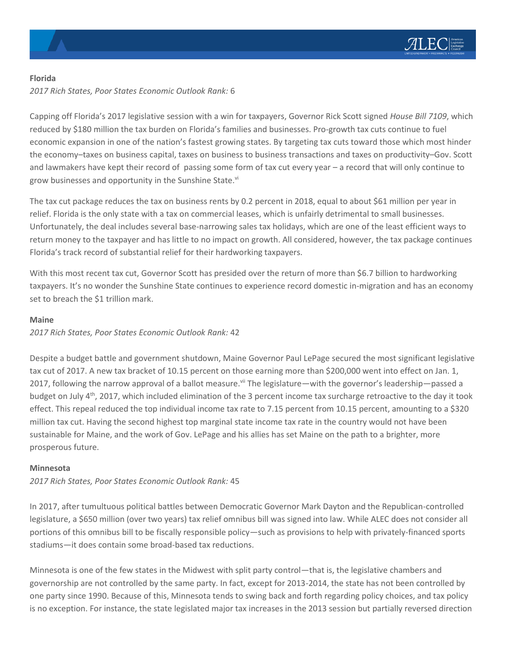

#### **Florida**

*2017 Rich States, Poor States Economic Outlook Rank:* 6

Capping off Florida's 2017 legislative session with a win for taxpayers, Governor Rick Scott signed *House Bill 7109*, which reduced by \$180 million the tax burden on Florida's families and businesses. Pro-growth tax cuts continue to fuel economic expansion in one of the nation's fastest growing states. By targeting tax cuts toward those which most hinder the economy–taxes on business capital, taxes on business to business transactions and taxes on productivity–Gov. Scott and lawmakers have kept their record of passing some form of tax cut every year – a record that will only continue to grow businesses and opportunity in the Sunshine State.<sup>vi</sup>

The tax cut package reduces the tax on business rents by 0.2 percent in 2018, equal to about \$61 million per year in relief. Florida is the only state with a tax on commercial leases, which is unfairly detrimental to small businesses. Unfortunately, the deal includes several base-narrowing sales tax holidays, which are one of the least efficient ways to return money to the taxpayer and has little to no impact on growth. All considered, however, the tax package continues Florida's track record of substantial relief for their hardworking taxpayers.

With this most recent tax cut, Governor Scott has presided over the return of more than \$6.7 billion to hardworking taxpayers. It's no wonder the Sunshine State continues to experience record domestic in-migration and has an economy set to breach the \$1 trillion mark.

# **Maine**

*2017 Rich States, Poor States Economic Outlook Rank:* 42

Despite a budget battle and government shutdown, Maine Governor Paul LePage secured the most significant legislative tax cut of 2017. A new tax bracket of 10.15 percent on those earning more than \$200,000 went into effect on Jan. 1, 2017, following the narrow approval of a ballot measure.<sup>vii</sup> The legislature—with the governor's leadership—passed a budget on July  $4<sup>th</sup>$ , 2017, which included elimination of the 3 percent income tax surcharge retroactive to the day it took effect. This repeal reduced the top individual income tax rate to 7.15 percent from 10.15 percent, amounting to a \$320 million tax cut. Having the second highest top marginal state income tax rate in the country would not have been sustainable for Maine, and the work of Gov. LePage and his allies has set Maine on the path to a brighter, more prosperous future.

# **Minnesota**

*2017 Rich States, Poor States Economic Outlook Rank:* 45

In 2017, after tumultuous political battles between Democratic Governor Mark Dayton and the Republican-controlled legislature, a \$650 million (over two years) tax relief omnibus bill was signed into law. While ALEC does not consider all portions of this omnibus bill to be fiscally responsible policy—such as provisions to help with privately-financed sports stadiums—it does contain some broad-based tax reductions.

Minnesota is one of the few states in the Midwest with split party control—that is, the legislative chambers and governorship are not controlled by the same party. In fact, except for 2013-2014, the state has not been controlled by one party since 1990. Because of this, Minnesota tends to swing back and forth regarding policy choices, and tax policy is no exception. For instance, the state legislated major tax increases in the 2013 session but partially reversed direction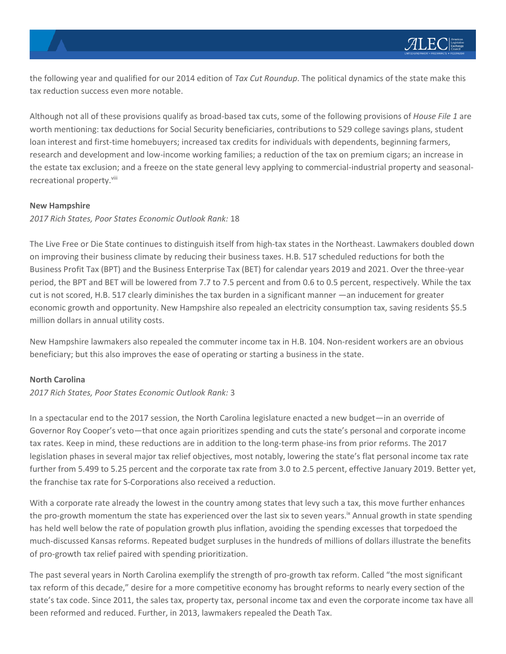the following year and qualified for our 2014 edition of *Tax Cut Roundup*. The political dynamics of the state make this tax reduction success even more notable.

Although not all of these provisions qualify as broad-based tax cuts, some of the following provisions of *House File 1* are worth mentioning: tax deductions for Social Security beneficiaries, contributions to 529 college savings plans, student loan interest and first-time homebuyers; increased tax credits for individuals with dependents, beginning farmers, research and development and low-income working families; a reduction of the tax on premium cigars; an increase in the estate tax exclusion; and a freeze on the state general levy applying to commercial-industrial property and seasonalrecreational property.<sup>viii</sup>

#### **New Hampshire**

*2017 Rich States, Poor States Economic Outlook Rank:* 18

The Live Free or Die State continues to distinguish itself from high-tax states in the Northeast. Lawmakers doubled down on improving their business climate by reducing their business taxes. H.B. 517 scheduled reductions for both the Business Profit Tax (BPT) and the Business Enterprise Tax (BET) for calendar years 2019 and 2021. Over the three-year period, the BPT and BET will be lowered from 7.7 to 7.5 percent and from 0.6 to 0.5 percent, respectively. While the tax cut is not scored, H.B. 517 clearly diminishes the tax burden in a significant manner —an inducement for greater economic growth and opportunity. New Hampshire also repealed an electricity consumption tax, saving residents \$5.5 million dollars in annual utility costs.

New Hampshire lawmakers also repealed the commuter income tax in H.B. 104. Non-resident workers are an obvious beneficiary; but this also improves the ease of operating or starting a business in the state.

#### **North Carolina**

#### *2017 Rich States, Poor States Economic Outlook Rank:* 3

In a spectacular end to the 2017 session, the North Carolina legislature enacted a new budget—in an override of Governor Roy Cooper's veto—that once again prioritizes spending and cuts the state's personal and corporate income tax rates. Keep in mind, these reductions are in addition to the long-term phase-ins from prior reforms. The 2017 legislation phases in several major tax relief objectives, most notably, lowering the state's flat personal income tax rate further from 5.499 to 5.25 percent and the corporate tax rate from 3.0 to 2.5 percent, effective January 2019. Better yet, the franchise tax rate for S-Corporations also received a reduction.

With a corporate rate already the lowest in the country among states that levy such a tax, this move further enhances the pro-growth momentum the state has experienced over the last six to seven years.<sup>ix</sup> Annual growth in state spending has held well below the rate of population growth plus inflation, avoiding the spending excesses that torpedoed the much-discussed Kansas reforms. Repeated budget surpluses in the hundreds of millions of dollars illustrate the benefits of pro-growth tax relief paired with spending prioritization.

The past several years in North Carolina exemplify the strength of pro-growth tax reform. Called "the most significant tax reform of this decade," desire for a more competitive economy has brought reforms to nearly every section of the state's tax code. Since 2011, the sales tax, property tax, personal income tax and even the corporate income tax have all been reformed and reduced. Further, in 2013, lawmakers repealed the Death Tax.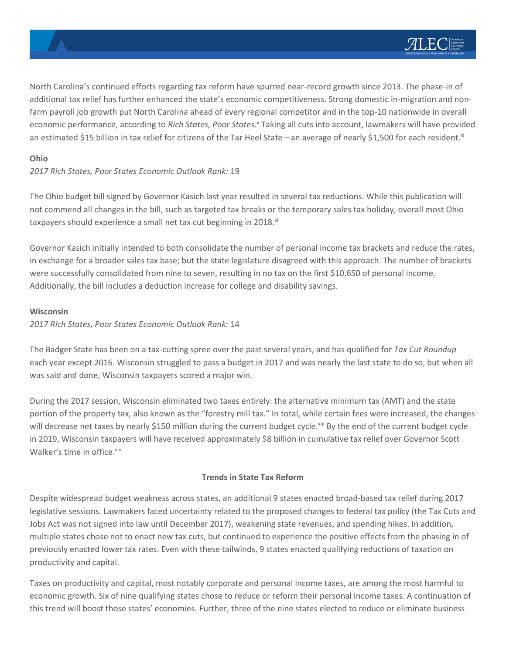North Carolina's continued efforts regarding tax reform have spurred near-record growth since 2013. The phase-in of additional tax relief has further enhanced the state's economic competitiveness. Strong domestic in-migration and nonfarm payroll job growth put North Carolina ahead of every regional competitor and in the top-10 nationwide in overall economic performance, according to Rich States, Poor States.<sup>x</sup> Taking all cuts into account, lawmakers will have provided an estimated \$15 billion in tax relief for citizens of the Tar Heel State—an average of nearly \$1,500 for each resident.<sup>xi</sup>

# **Ohio**

*2017 Rich States, Poor States Economic Outlook Rank:* 19

The Ohio budget bill signed by Governor Kasich last year resulted in several tax reductions. While this publication will not commend all changes in the bill, such as targeted tax breaks or the temporary sales tax holiday, overall most Ohio taxpayers should experience a small net tax cut beginning in 2018.<sup>xii</sup>

Governor Kasich initially intended to both consolidate the number of personal income tax brackets and reduce the rates, in exchange for a broader sales tax base; but the state legislature disagreed with this approach. The number of brackets were successfully consolidated from nine to seven, resulting in no tax on the first \$10,650 of personal income. Additionally, the bill includes a deduction increase for college and disability savings.

# **Wisconsin**

#### *2017 Rich States, Poor States Economic Outlook Rank:* 14

The Badger State has been on a tax-cutting spree over the past several years, and has qualified for *Tax Cut Roundup* each year except 2016. Wisconsin struggled to pass a budget in 2017 and was nearly the last state to do so, but when all was said and done, Wisconsin taxpayers scored a major win.

During the 2017 session, Wisconsin eliminated two taxes entirely: the alternative minimum tax (AMT) and the state portion of the property tax, also known as the "forestry mill tax." In total, while certain fees were increased, the changes will decrease net taxes by nearly \$150 million during the current budget cycle.<sup>xiii</sup> By the end of the current budget cycle in 2019, Wisconsin taxpayers will have received approximately \$8 billion in cumulative tax relief over Governor Scott Walker's time in office.<sup>xiv</sup>

# **Trends in State Tax Reform**

Despite widespread budget weakness across states, an additional 9 states enacted broad-based tax relief during 2017 legislative sessions. Lawmakers faced uncertainty related to the proposed changes to federal tax policy (the Tax Cuts and Jobs Act was not signed into law until December 2017), weakening state revenues, and spending hikes. In addition, multiple states chose not to enact new tax cuts, but continued to experience the positive effects from the phasing in of previously enacted lower tax rates. Even with these tailwinds, 9 states enacted qualifying reductions of taxation on productivity and capital.

Taxes on productivity and capital, most notably corporate and personal income taxes, are among the most harmful to economic growth. Six of nine qualifying states chose to reduce or reform their personal income taxes. A continuation of this trend will boost those states' economies. Further, three of the nine states elected to reduce or eliminate business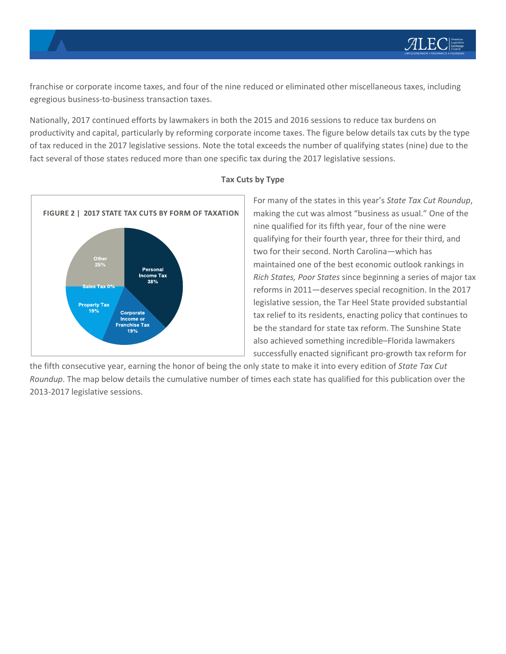franchise or corporate income taxes, and four of the nine reduced or eliminated other miscellaneous taxes, including egregious business-to-business transaction taxes.

Nationally, 2017 continued efforts by lawmakers in both the 2015 and 2016 sessions to reduce tax burdens on productivity and capital, particularly by reforming corporate income taxes. The figure below details tax cuts by the type of tax reduced in the 2017 legislative sessions. Note the total exceeds the number of qualifying states (nine) due to the fact several of those states reduced more than one specific tax during the 2017 legislative sessions.



# **Tax Cuts by Type**

For many of the states in this year's *State Tax Cut Roundup*, making the cut was almost "business as usual." One of the nine qualified for its fifth year, four of the nine were qualifying for their fourth year, three for their third, and two for their second. North Carolina—which has maintained one of the best economic outlook rankings in *Rich States, Poor States* since beginning a series of major tax reforms in 2011—deserves special recognition. In the 2017 legislative session, the Tar Heel State provided substantial tax relief to its residents, enacting policy that continues to be the standard for state tax reform. The Sunshine State also achieved something incredible–Florida lawmakers successfully enacted significant pro-growth tax reform for

the fifth consecutive year, earning the honor of being the only state to make it into every edition of *State Tax Cut Roundup*. The map below details the cumulative number of times each state has qualified for this publication over the 2013-2017 legislative sessions.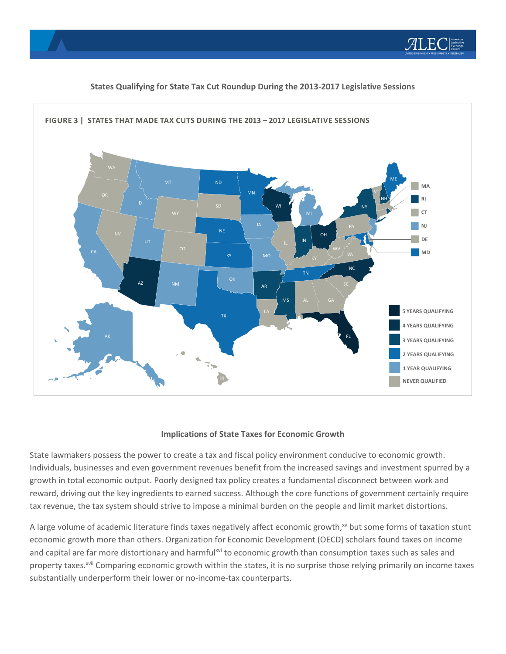



# **States Qualifying for State Tax Cut Roundup During the 2013-2017 Legislative Sessions**

#### **Implications of State Taxes for Economic Growth**

State lawmakers possess the power to create a tax and fiscal policy environment conducive to economic growth. Individuals, businesses and even government revenues benefit from the increased savings and investment spurred by a growth in total economic output. Poorly designed tax policy creates a fundamental disconnect between work and reward, driving out the key ingredients to earned success. Although the core functions of government certainly require tax revenue, the tax system should strive to impose a minimal burden on the people and limit market distortions.

A large volume of academic literature finds taxes negatively affect economic growth, $x<sub>v</sub>$  but some forms of taxation stunt economic growth more than others. Organization for Economic Development (OECD) scholars found taxes on income and capital are far more distortionary and harmful<sup>xvi</sup> to economic growth than consumption taxes such as sales and property taxes.<sup>xvii</sup> Comparing economic growth within the states, it is no surprise those relying primarily on income taxes substantially underperform their lower or no-income-tax counterparts.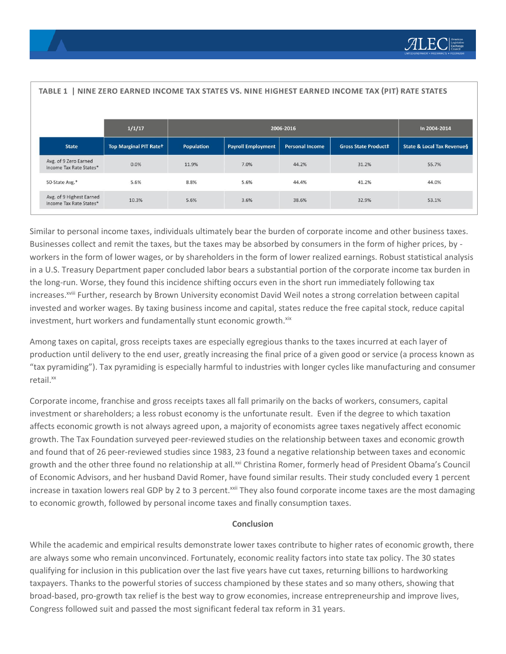| TABLE 1   NINE ZERO EARNED INCOME TAX STATES VS. NINE HIGHEST EARNED INCOME TAX (PIT) RATE STATES |                               |            |                           |                        |                             |                                       |
|---------------------------------------------------------------------------------------------------|-------------------------------|------------|---------------------------|------------------------|-----------------------------|---------------------------------------|
|                                                                                                   | 1/1/17                        | 2006-2016  |                           |                        |                             | In 2004-2014                          |
| <b>State</b>                                                                                      | <b>Top Marginal PIT Rate+</b> | Population | <b>Payroll Employment</b> | <b>Personal Income</b> | <b>Gross State Product‡</b> | <b>State &amp; Local Tax Revenues</b> |
| Avg. of 9 Zero Earned<br>Income Tax Rate States*                                                  | 0.0%                          | 11.9%      | 7.0%                      | 44.2%                  | 31.2%                       | 55.7%                                 |
| 50-State Avg.*                                                                                    | 5.6%                          | 8.8%       | 5.6%                      | 44.4%                  | 41.2%                       | 44.0%                                 |
| Avg. of 9 Highest Earned<br>Income Tax Rate States*                                               | 10.3%                         | 5.6%       | 3.6%                      | 38.6%                  | 32.9%                       | 53.1%                                 |

Similar to personal income taxes, individuals ultimately bear the burden of corporate income and other business taxes. Businesses collect and remit the taxes, but the taxes may be absorbed by consumers in the form of higher prices, by workers in the form of lower wages, or by shareholders in the form of lower realized earnings. Robust statistical analysis in a U.S. Treasury Department paper concluded labor bears a substantial portion of the corporate income tax burden in the long-run. Worse, they found this incidence shifting occurs even in the short run immediately following tax increases.<sup>xviii</sup> Further, research by Brown University economist David Weil notes a strong correlation between capital invested and worker wages. By taxing business income and capital, states reduce the free capital stock, reduce capital investment, hurt workers and fundamentally stunt economic growth.xix

Among taxes on capital, gross receipts taxes are especially egregious thanks to the taxes incurred at each layer of production until delivery to the end user, greatly increasing the final price of a given good or service (a process known as "tax pyramiding"). Tax pyramiding is especially harmful to industries with longer cycles like manufacturing and consumer retail.xx

Corporate income, franchise and gross receipts taxes all fall primarily on the backs of workers, consumers, capital investment or shareholders; a less robust economy is the unfortunate result. Even if the degree to which taxation affects economic growth is not always agreed upon, a majority of economists agree taxes negatively affect economic growth. The Tax Foundation surveyed peer-reviewed studies on the relationship between taxes and economic growth and found that of 26 peer-reviewed studies since 1983, 23 found a negative relationship between taxes and economic growth and the other three found no relationship at all.<sup>xxi</sup> Christina Romer, formerly head of President Obama's Council of Economic Advisors, and her husband David Romer, have found similar results. Their study concluded every 1 percent increase in taxation lowers real GDP by 2 to 3 percent.<sup>xxii</sup> They also found corporate income taxes are the most damaging to economic growth, followed by personal income taxes and finally consumption taxes.

# **Conclusion**

While the academic and empirical results demonstrate lower taxes contribute to higher rates of economic growth, there are always some who remain unconvinced. Fortunately, economic reality factors into state tax policy. The 30 states qualifying for inclusion in this publication over the last five years have cut taxes, returning billions to hardworking taxpayers. Thanks to the powerful stories of success championed by these states and so many others, showing that broad-based, pro-growth tax relief is the best way to grow economies, increase entrepreneurship and improve lives, Congress followed suit and passed the most significant federal tax reform in 31 years.